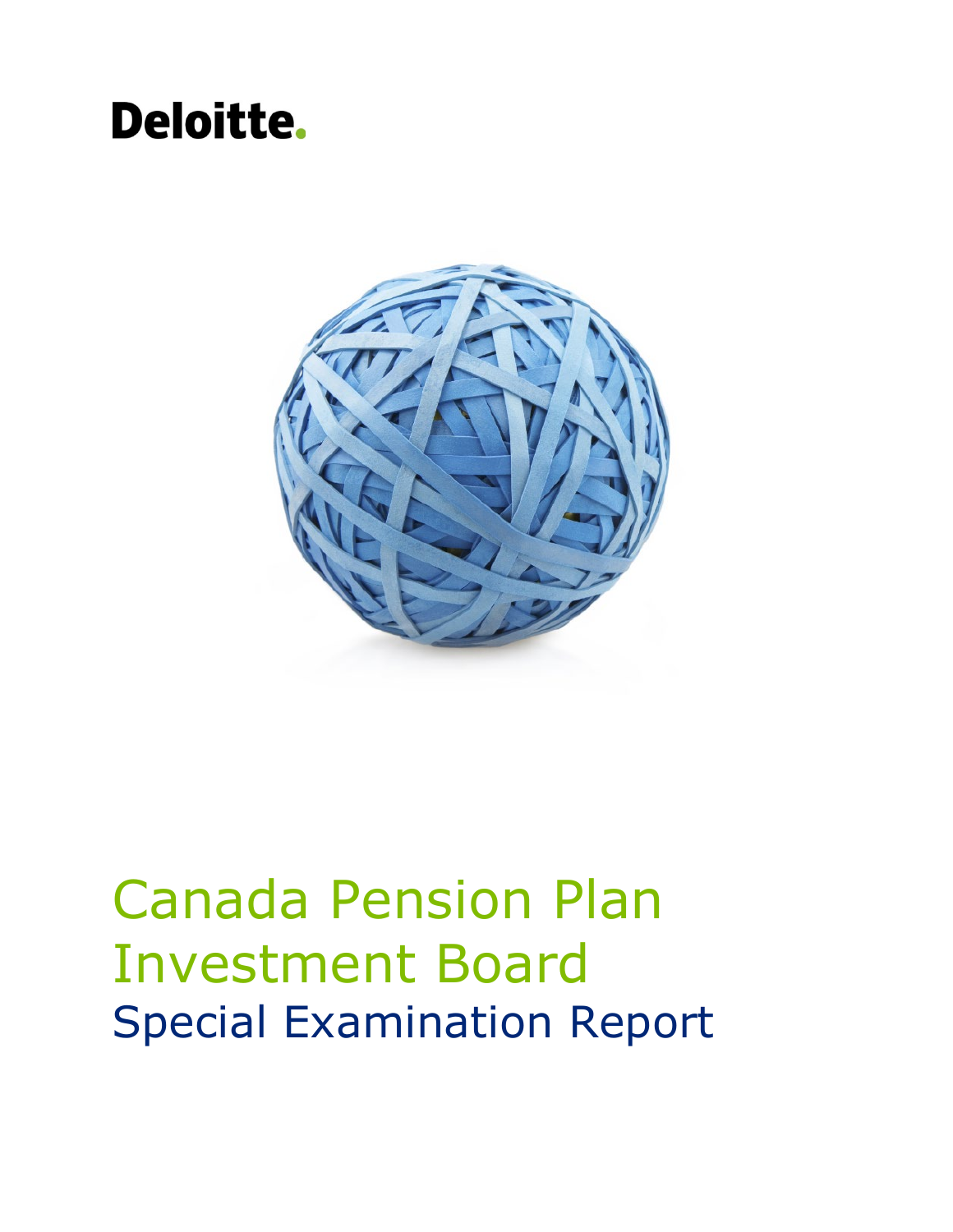### **Deloitte.**



# Canada Pension Plan Investment Board Special Examination Report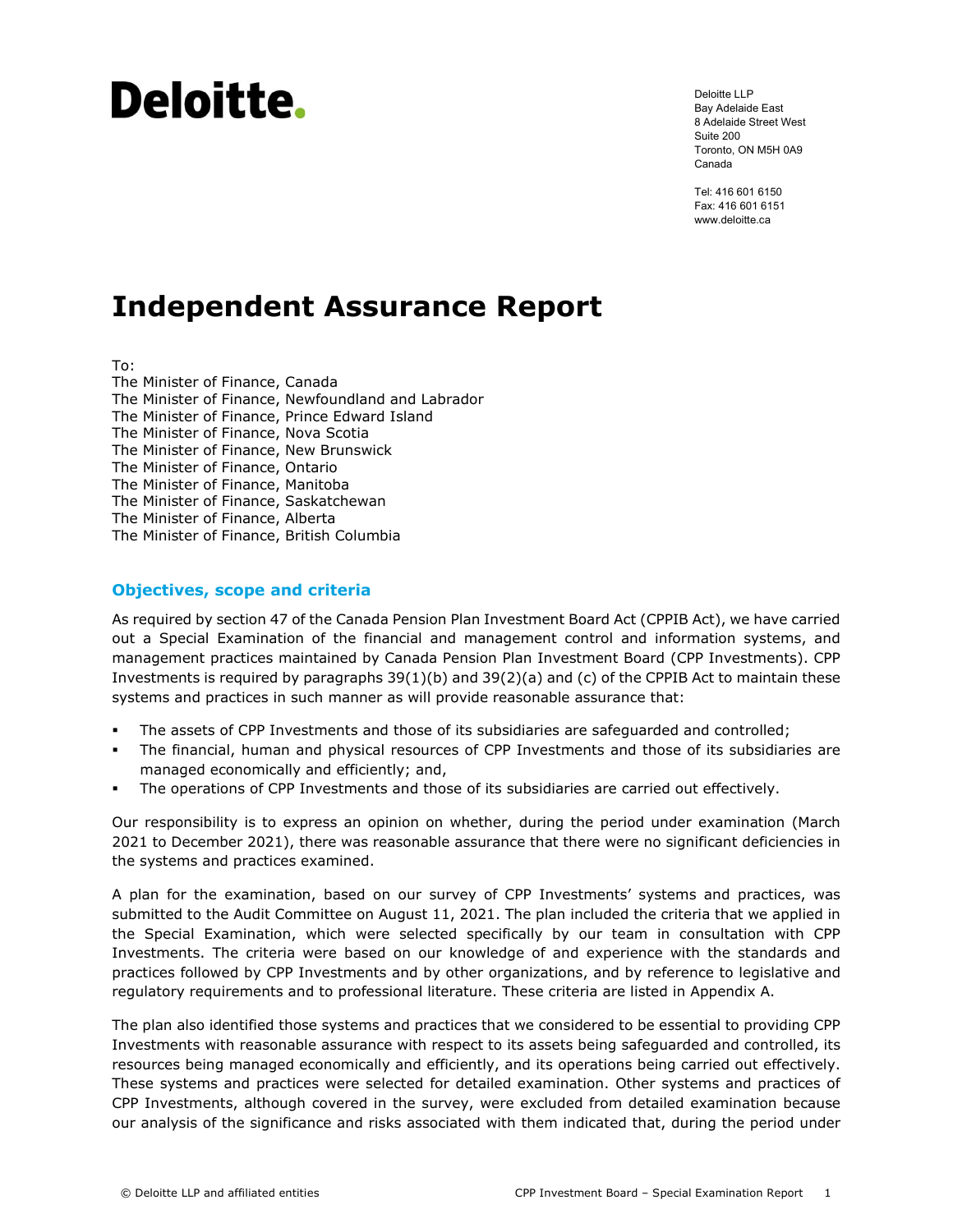## Deloitte.

Deloitte LLP Bay Adelaide East 8 Adelaide Street West Suite 200 Toronto, ON M5H 0A9 Canada

Tel: 416 601 6150 Fax: 416 601 6151 www.deloitte.ca

### **Independent Assurance Report**

To:

The Minister of Finance, Canada The Minister of Finance, Newfoundland and Labrador The Minister of Finance, Prince Edward Island The Minister of Finance, Nova Scotia The Minister of Finance, New Brunswick The Minister of Finance, Ontario The Minister of Finance, Manitoba The Minister of Finance, Saskatchewan The Minister of Finance, Alberta The Minister of Finance, British Columbia

#### **Objectives, scope and criteria**

As required by section 47 of the Canada Pension Plan Investment Board Act (CPPIB Act), we have carried out a Special Examination of the financial and management control and information systems, and management practices maintained by Canada Pension Plan Investment Board (CPP Investments). CPP Investments is required by paragraphs  $39(1)(b)$  and  $39(2)(a)$  and (c) of the CPPIB Act to maintain these systems and practices in such manner as will provide reasonable assurance that:

- The assets of CPP Investments and those of its subsidiaries are safeguarded and controlled;
- The financial, human and physical resources of CPP Investments and those of its subsidiaries are managed economically and efficiently; and,
- The operations of CPP Investments and those of its subsidiaries are carried out effectively.

Our responsibility is to express an opinion on whether, during the period under examination (March 2021 to December 2021), there was reasonable assurance that there were no significant deficiencies in the systems and practices examined.

A plan for the examination, based on our survey of CPP Investments' systems and practices, was submitted to the Audit Committee on August 11, 2021. The plan included the criteria that we applied in the Special Examination, which were selected specifically by our team in consultation with CPP Investments. The criteria were based on our knowledge of and experience with the standards and practices followed by CPP Investments and by other organizations, and by reference to legislative and regulatory requirements and to professional literature. These criteria are listed in Appendix A.

The plan also identified those systems and practices that we considered to be essential to providing CPP Investments with reasonable assurance with respect to its assets being safeguarded and controlled, its resources being managed economically and efficiently, and its operations being carried out effectively. These systems and practices were selected for detailed examination. Other systems and practices of CPP Investments, although covered in the survey, were excluded from detailed examination because our analysis of the significance and risks associated with them indicated that, during the period under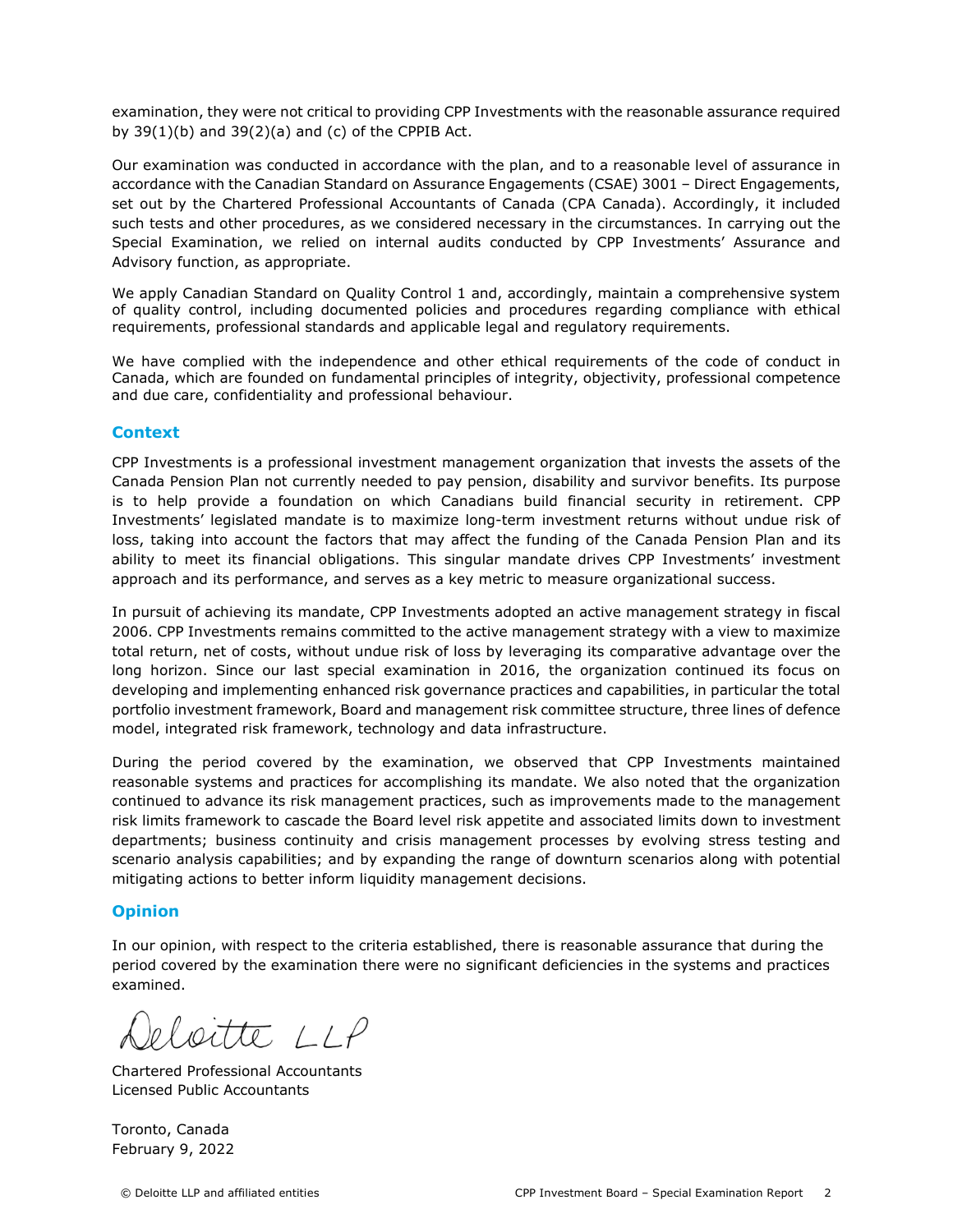examination, they were not critical to providing CPP Investments with the reasonable assurance required by  $39(1)(b)$  and  $39(2)(a)$  and (c) of the CPPIB Act.

Our examination was conducted in accordance with the plan, and to a reasonable level of assurance in accordance with the Canadian Standard on Assurance Engagements (CSAE) 3001 – Direct Engagements, set out by the Chartered Professional Accountants of Canada (CPA Canada). Accordingly, it included such tests and other procedures, as we considered necessary in the circumstances. In carrying out the Special Examination, we relied on internal audits conducted by CPP Investments' Assurance and Advisory function, as appropriate.

We apply Canadian Standard on Quality Control 1 and, accordingly, maintain a comprehensive system of quality control, including documented policies and procedures regarding compliance with ethical requirements, professional standards and applicable legal and regulatory requirements.

We have complied with the independence and other ethical requirements of the code of conduct in Canada, which are founded on fundamental principles of integrity, objectivity, professional competence and due care, confidentiality and professional behaviour.

#### **Context**

CPP Investments is a professional investment management organization that invests the assets of the Canada Pension Plan not currently needed to pay pension, disability and survivor benefits. Its purpose is to help provide a foundation on which Canadians build financial security in retirement. CPP Investments' legislated mandate is to maximize long-term investment returns without undue risk of loss, taking into account the factors that may affect the funding of the Canada Pension Plan and its ability to meet its financial obligations. This singular mandate drives CPP Investments' investment approach and its performance, and serves as a key metric to measure organizational success.

In pursuit of achieving its mandate, CPP Investments adopted an active management strategy in fiscal 2006. CPP Investments remains committed to the active management strategy with a view to maximize total return, net of costs, without undue risk of loss by leveraging its comparative advantage over the long horizon. Since our last special examination in 2016, the organization continued its focus on developing and implementing enhanced risk governance practices and capabilities, in particular the total portfolio investment framework, Board and management risk committee structure, three lines of defence model, integrated risk framework, technology and data infrastructure.

During the period covered by the examination, we observed that CPP Investments maintained reasonable systems and practices for accomplishing its mandate. We also noted that the organization continued to advance its risk management practices, such as improvements made to the management risk limits framework to cascade the Board level risk appetite and associated limits down to investment departments; business continuity and crisis management processes by evolving stress testing and scenario analysis capabilities; and by expanding the range of downturn scenarios along with potential mitigating actions to better inform liquidity management decisions.

#### **Opinion**

In our opinion, with respect to the criteria established, there is reasonable assurance that during the period covered by the examination there were no significant deficiencies in the systems and practices examined.

eloitte LLP

Chartered Professional Accountants Licensed Public Accountants

Toronto, Canada February 9, 2022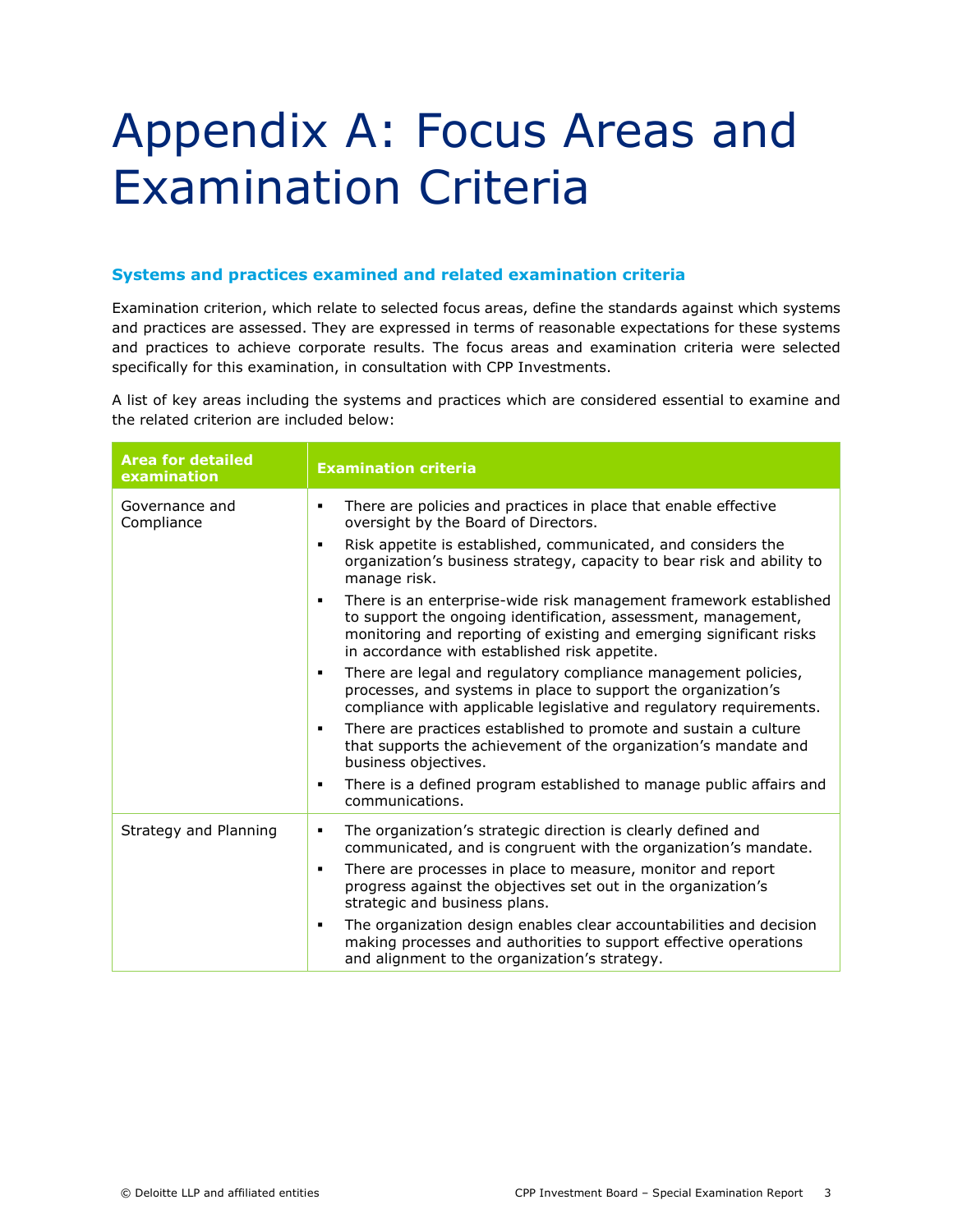### Appendix A: Focus Areas and Examination Criteria

#### **Systems and practices examined and related examination criteria**

Examination criterion, which relate to selected focus areas, define the standards against which systems and practices are assessed. They are expressed in terms of reasonable expectations for these systems and practices to achieve corporate results. The focus areas and examination criteria were selected specifically for this examination, in consultation with CPP Investments.

A list of key areas including the systems and practices which are considered essential to examine and the related criterion are included below:

| <b>Area for detailed</b><br>examination | <b>Examination criteria</b>                                                                                                                                                                                                                                      |
|-----------------------------------------|------------------------------------------------------------------------------------------------------------------------------------------------------------------------------------------------------------------------------------------------------------------|
| Governance and<br>Compliance            | There are policies and practices in place that enable effective<br>٠<br>oversight by the Board of Directors.                                                                                                                                                     |
|                                         | Risk appetite is established, communicated, and considers the<br>$\blacksquare$<br>organization's business strategy, capacity to bear risk and ability to<br>manage risk.                                                                                        |
|                                         | There is an enterprise-wide risk management framework established<br>٠<br>to support the ongoing identification, assessment, management,<br>monitoring and reporting of existing and emerging significant risks<br>in accordance with established risk appetite. |
|                                         | There are legal and regulatory compliance management policies,<br>٠<br>processes, and systems in place to support the organization's<br>compliance with applicable legislative and regulatory requirements.                                                      |
|                                         | There are practices established to promote and sustain a culture<br>$\blacksquare$<br>that supports the achievement of the organization's mandate and<br>business objectives.                                                                                    |
|                                         | There is a defined program established to manage public affairs and<br>$\blacksquare$<br>communications.                                                                                                                                                         |
| Strategy and Planning                   | The organization's strategic direction is clearly defined and<br>٠<br>communicated, and is congruent with the organization's mandate.                                                                                                                            |
|                                         | There are processes in place to measure, monitor and report<br>٠<br>progress against the objectives set out in the organization's<br>strategic and business plans.                                                                                               |
|                                         | The organization design enables clear accountabilities and decision<br>$\blacksquare$<br>making processes and authorities to support effective operations<br>and alignment to the organization's strategy.                                                       |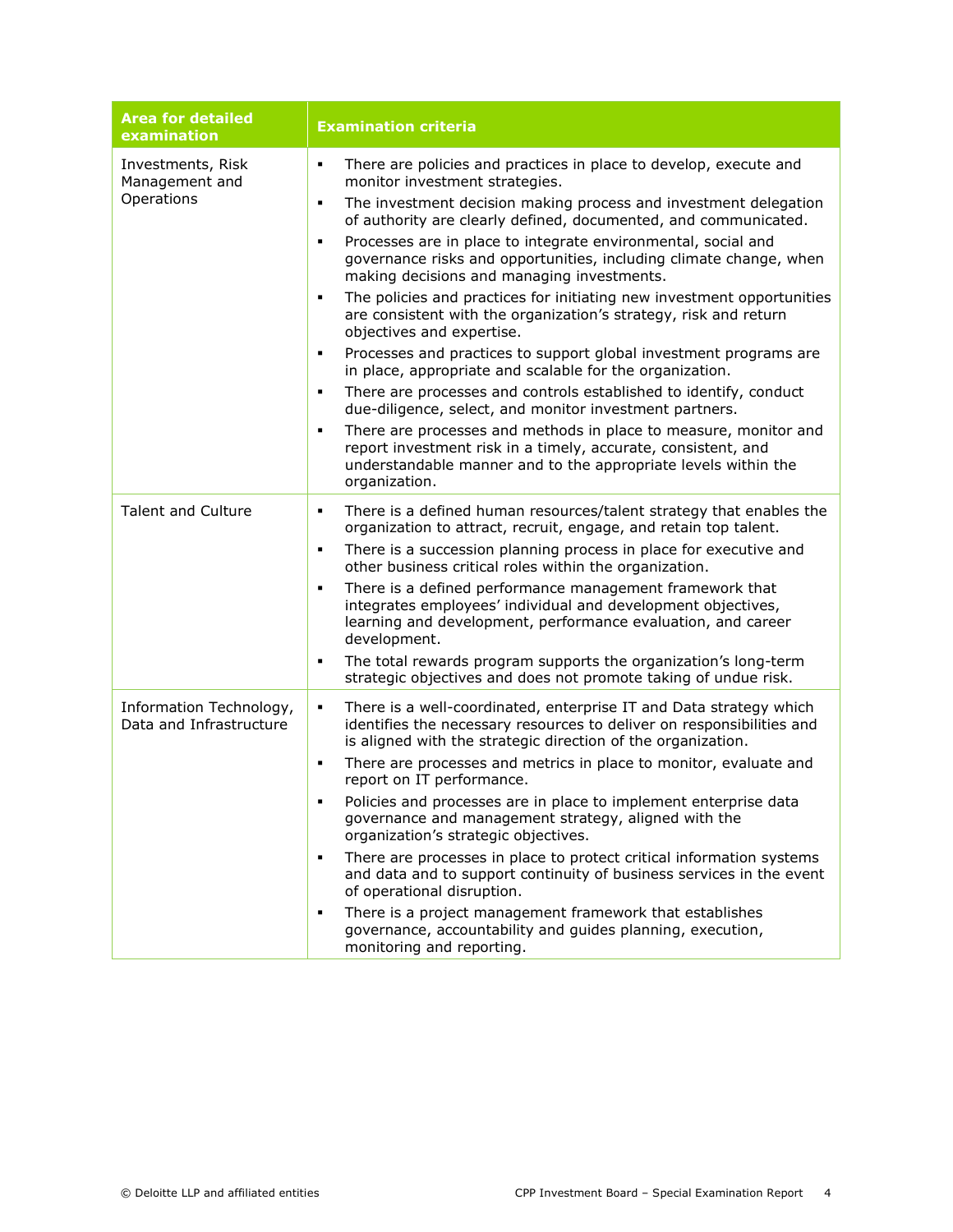| <b>Area for detailed</b><br>examination            | <b>Examination criteria</b>                                                                                                                                                                                               |
|----------------------------------------------------|---------------------------------------------------------------------------------------------------------------------------------------------------------------------------------------------------------------------------|
| Investments, Risk<br>Management and<br>Operations  | There are policies and practices in place to develop, execute and<br>$\blacksquare$<br>monitor investment strategies.                                                                                                     |
|                                                    | The investment decision making process and investment delegation<br>٠<br>of authority are clearly defined, documented, and communicated.                                                                                  |
|                                                    | Processes are in place to integrate environmental, social and<br>٠<br>governance risks and opportunities, including climate change, when<br>making decisions and managing investments.                                    |
|                                                    | The policies and practices for initiating new investment opportunities<br>٠<br>are consistent with the organization's strategy, risk and return<br>objectives and expertise.                                              |
|                                                    | Processes and practices to support global investment programs are<br>٠<br>in place, appropriate and scalable for the organization.                                                                                        |
|                                                    | There are processes and controls established to identify, conduct<br>٠<br>due-diligence, select, and monitor investment partners.                                                                                         |
|                                                    | There are processes and methods in place to measure, monitor and<br>٠<br>report investment risk in a timely, accurate, consistent, and<br>understandable manner and to the appropriate levels within the<br>organization. |
| <b>Talent and Culture</b>                          | There is a defined human resources/talent strategy that enables the<br>٠<br>organization to attract, recruit, engage, and retain top talent.                                                                              |
|                                                    | There is a succession planning process in place for executive and<br>٠<br>other business critical roles within the organization.                                                                                          |
|                                                    | There is a defined performance management framework that<br>٠<br>integrates employees' individual and development objectives,<br>learning and development, performance evaluation, and career<br>development.             |
|                                                    | The total rewards program supports the organization's long-term<br>٠<br>strategic objectives and does not promote taking of undue risk.                                                                                   |
| Information Technology,<br>Data and Infrastructure | There is a well-coordinated, enterprise IT and Data strategy which<br>٠<br>identifies the necessary resources to deliver on responsibilities and<br>is aligned with the strategic direction of the organization.          |
|                                                    | There are processes and metrics in place to monitor, evaluate and<br>٠<br>report on IT performance.                                                                                                                       |
|                                                    | Policies and processes are in place to implement enterprise data<br>governance and management strategy, aligned with the<br>organization's strategic objectives.                                                          |
|                                                    | There are processes in place to protect critical information systems<br>٠<br>and data and to support continuity of business services in the event<br>of operational disruption.                                           |
|                                                    | There is a project management framework that establishes<br>٠<br>governance, accountability and guides planning, execution,<br>monitoring and reporting.                                                                  |